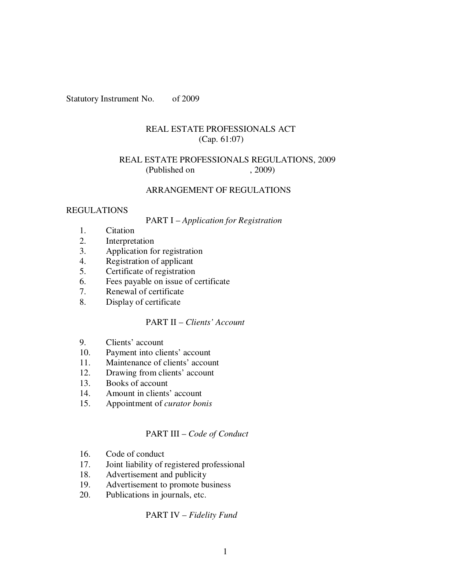Statutory Instrument No. of 2009

### REAL ESTATE PROFESSIONALS ACT (Cap. 61:07)

### REAL ESTATE PROFESSIONALS REGULATIONS, 2009 (Published on , 2009)

## ARRANGEMENT OF REGULATIONS

### REGULATIONS

#### PART I – *Application for Registration*

- 1. Citation
- 2. Interpretation
- 3. Application for registration
- 4. Registration of applicant
- 5. Certificate of registration
- 6. Fees payable on issue of certificate<br>7. Renewal of certificate
- Renewal of certificate
- 8. Display of certificate

### PART II – *Clients' Account*

- 9. Clients' account
- 10. Payment into clients' account
- 11. Maintenance of clients' account
- 12. Drawing from clients' account
- 13. Books of account
- 14. Amount in clients' account
- 15. Appointment of *curator bonis*

### PART III – *Code of Conduct*

- 16. Code of conduct
- 17. Joint liability of registered professional
- 18. Advertisement and publicity
- 19. Advertisement to promote business<br>20. Publications in journals, etc.
- Publications in journals, etc.

### PART IV – *Fidelity Fund*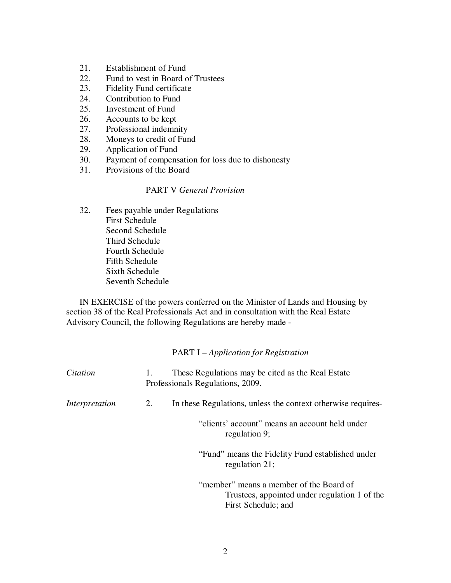- 21. Establishment of Fund
- 22. Fund to vest in Board of Trustees
- 23. Fidelity Fund certificate
- 24. Contribution to Fund
- 25. Investment of Fund
- 26. Accounts to be kept
- 27. Professional indemnity
- 28. Moneys to credit of Fund
- 29. Application of Fund<br>30. Payment of compens
- Payment of compensation for loss due to dishonesty
- 31. Provisions of the Board

### PART V *General Provision*

32. Fees payable under Regulations First Schedule Second Schedule Third Schedule Fourth Schedule Fifth Schedule Sixth Schedule Seventh Schedule

IN EXERCISE of the powers conferred on the Minister of Lands and Housing by section 38 of the Real Professionals Act and in consultation with the Real Estate Advisory Council, the following Regulations are hereby made -

### PART I – *Application for Registration*

| Citation       |    | These Regulations may be cited as the Real Estate<br>Professionals Regulations, 2009.                           |
|----------------|----|-----------------------------------------------------------------------------------------------------------------|
| Interpretation | 2. | In these Regulations, unless the context otherwise requires-                                                    |
|                |    | "clients" account" means an account held under<br>regulation 9;                                                 |
|                |    | "Fund" means the Fidelity Fund established under<br>regulation 21;                                              |
|                |    | "member" means a member of the Board of<br>Trustees, appointed under regulation 1 of the<br>First Schedule; and |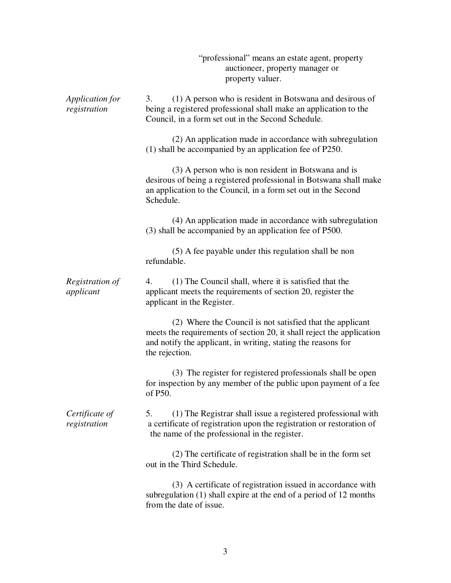|                                 | "professional" means an estate agent, property<br>auctioneer, property manager or<br>property valuer.                                                                                                                 |
|---------------------------------|-----------------------------------------------------------------------------------------------------------------------------------------------------------------------------------------------------------------------|
| Application for<br>registration | (1) A person who is resident in Botswana and desirous of<br>3.<br>being a registered professional shall make an application to the<br>Council, in a form set out in the Second Schedule.                              |
|                                 | (2) An application made in accordance with subregulation<br>(1) shall be accompanied by an application fee of P250.                                                                                                   |
|                                 | (3) A person who is non resident in Botswana and is<br>desirous of being a registered professional in Botswana shall make<br>an application to the Council, in a form set out in the Second<br>Schedule.              |
|                                 | (4) An application made in accordance with subregulation<br>(3) shall be accompanied by an application fee of P500.                                                                                                   |
|                                 | (5) A fee payable under this regulation shall be non<br>refundable.                                                                                                                                                   |
| Registration of<br>applicant    | (1) The Council shall, where it is satisfied that the<br>4.<br>applicant meets the requirements of section 20, register the<br>applicant in the Register.                                                             |
|                                 | (2) Where the Council is not satisfied that the applicant<br>meets the requirements of section 20, it shall reject the application<br>and notify the applicant, in writing, stating the reasons for<br>the rejection. |
|                                 | (3) The register for registered professionals shall be open<br>for inspection by any member of the public upon payment of a fee<br>of P50.                                                                            |
| Certificate of<br>registration  | (1) The Registrar shall issue a registered professional with<br>5.<br>a certificate of registration upon the registration or restoration of<br>the name of the professional in the register.                          |
|                                 | (2) The certificate of registration shall be in the form set<br>out in the Third Schedule.                                                                                                                            |
|                                 | (3) A certificate of registration issued in accordance with<br>subregulation (1) shall expire at the end of a period of 12 months<br>from the date of issue.                                                          |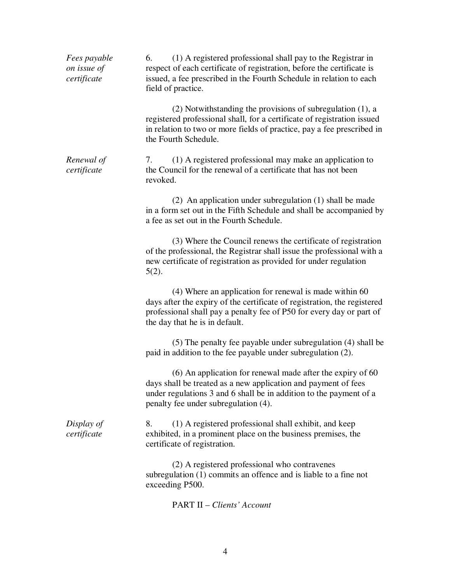| Fees payable<br>on issue of<br>certificate | (1) A registered professional shall pay to the Registrar in<br>6.<br>respect of each certificate of registration, before the certificate is<br>issued, a fee prescribed in the Fourth Schedule in relation to each<br>field of practice.     |
|--------------------------------------------|----------------------------------------------------------------------------------------------------------------------------------------------------------------------------------------------------------------------------------------------|
|                                            | (2) Notwithstanding the provisions of subregulation (1), a<br>registered professional shall, for a certificate of registration issued<br>in relation to two or more fields of practice, pay a fee prescribed in<br>the Fourth Schedule.      |
| Renewal of<br>certificate                  | (1) A registered professional may make an application to<br>7.<br>the Council for the renewal of a certificate that has not been<br>revoked.                                                                                                 |
|                                            | (2) An application under subregulation (1) shall be made<br>in a form set out in the Fifth Schedule and shall be accompanied by<br>a fee as set out in the Fourth Schedule.                                                                  |
|                                            | (3) Where the Council renews the certificate of registration<br>of the professional, the Registrar shall issue the professional with a<br>new certificate of registration as provided for under regulation<br>$5(2)$ .                       |
|                                            | (4) Where an application for renewal is made within 60<br>days after the expiry of the certificate of registration, the registered<br>professional shall pay a penalty fee of P50 for every day or part of<br>the day that he is in default. |
|                                            | (5) The penalty fee payable under subregulation (4) shall be<br>paid in addition to the fee payable under subregulation (2).                                                                                                                 |
|                                            | $(6)$ An application for renewal made after the expiry of 60<br>days shall be treated as a new application and payment of fees<br>under regulations 3 and 6 shall be in addition to the payment of a<br>penalty fee under subregulation (4). |
| Display of<br>certificate                  | (1) A registered professional shall exhibit, and keep<br>8.<br>exhibited, in a prominent place on the business premises, the<br>certificate of registration.                                                                                 |
|                                            | (2) A registered professional who contravenes<br>subregulation $(1)$ commits an offence and is liable to a fine not<br>exceeding P500.                                                                                                       |
|                                            | <b>PART II – Clients' Account</b>                                                                                                                                                                                                            |

4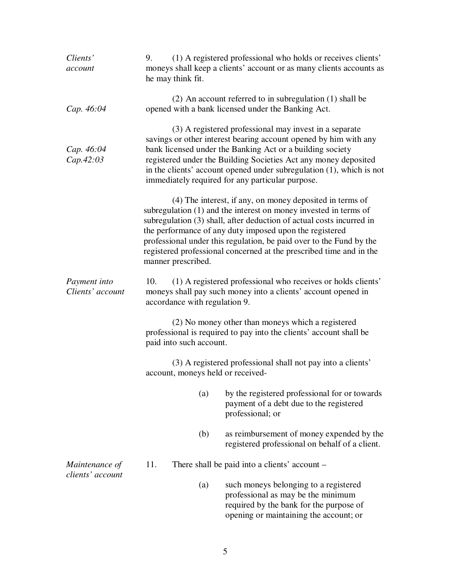| Clients'<br>account                | 9.<br>he may think fit.              | (1) A registered professional who holds or receives clients'<br>moneys shall keep a clients' account or as many clients accounts as                                                                                                                                                                                                                                                                           |
|------------------------------------|--------------------------------------|---------------------------------------------------------------------------------------------------------------------------------------------------------------------------------------------------------------------------------------------------------------------------------------------------------------------------------------------------------------------------------------------------------------|
| Cap. 46:04                         |                                      | $(2)$ An account referred to in subregulation $(1)$ shall be<br>opened with a bank licensed under the Banking Act.                                                                                                                                                                                                                                                                                            |
| Cap. 46:04<br>Cap.42:03            |                                      | (3) A registered professional may invest in a separate<br>savings or other interest bearing account opened by him with any<br>bank licensed under the Banking Act or a building society<br>registered under the Building Societies Act any money deposited<br>in the clients' account opened under subregulation $(1)$ , which is not<br>immediately required for any particular purpose.                     |
|                                    | manner prescribed.                   | (4) The interest, if any, on money deposited in terms of<br>subregulation (1) and the interest on money invested in terms of<br>subregulation (3) shall, after deduction of actual costs incurred in<br>the performance of any duty imposed upon the registered<br>professional under this regulation, be paid over to the Fund by the<br>registered professional concerned at the prescribed time and in the |
| Payment into<br>Clients' account   | 10.<br>accordance with regulation 9. | (1) A registered professional who receives or holds clients'<br>moneys shall pay such money into a clients' account opened in                                                                                                                                                                                                                                                                                 |
|                                    | paid into such account.              | (2) No money other than moneys which a registered<br>professional is required to pay into the clients' account shall be                                                                                                                                                                                                                                                                                       |
|                                    | account, moneys held or received-    | (3) A registered professional shall not pay into a clients'                                                                                                                                                                                                                                                                                                                                                   |
|                                    | (a)                                  | by the registered professional for or towards<br>payment of a debt due to the registered<br>professional; or                                                                                                                                                                                                                                                                                                  |
|                                    | (b)                                  | as reimbursement of money expended by the<br>registered professional on behalf of a client.                                                                                                                                                                                                                                                                                                                   |
| Maintenance of<br>clients' account | 11.                                  | There shall be paid into a clients' account –                                                                                                                                                                                                                                                                                                                                                                 |
|                                    | (a)                                  | such moneys belonging to a registered<br>professional as may be the minimum<br>required by the bank for the purpose of<br>opening or maintaining the account; or                                                                                                                                                                                                                                              |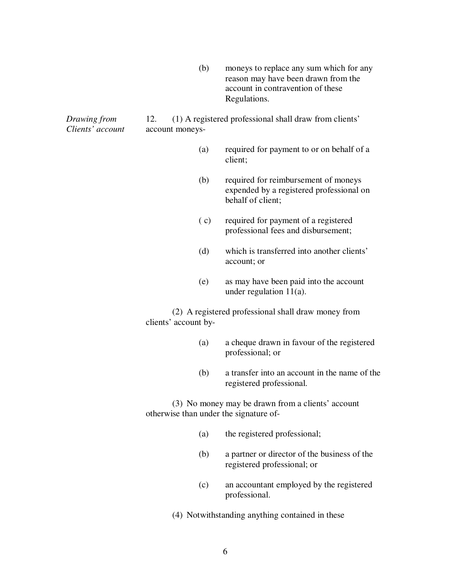(b) moneys to replace any sum which for any reason may have been drawn from the account in contravention of these Regulations.

*Drawing from* 12. (1) A registered professional shall draw from clients' *Clients' account* account moneys-

- (a) required for payment to or on behalf of a client;
- (b) required for reimbursement of moneys expended by a registered professional on behalf of client;
- ( c) required for payment of a registered professional fees and disbursement;
- (d) which is transferred into another clients' account; or
- (e) as may have been paid into the account under regulation 11(a).

(2) A registered professional shall draw money from clients' account by-

- (a) a cheque drawn in favour of the registered professional; or
- (b) a transfer into an account in the name of the registered professional.

(3) No money may be drawn from a clients' account otherwise than under the signature of-

- (a) the registered professional;
- (b) a partner or director of the business of the registered professional; or
- (c) an accountant employed by the registered professional.
- (4) Notwithstanding anything contained in these

6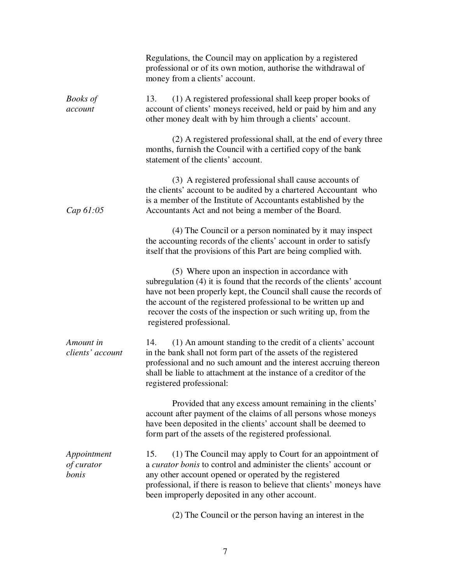|                                    | Regulations, the Council may on application by a registered<br>professional or of its own motion, authorise the withdrawal of<br>money from a clients' account.                                                                                                                                                                                                     |
|------------------------------------|---------------------------------------------------------------------------------------------------------------------------------------------------------------------------------------------------------------------------------------------------------------------------------------------------------------------------------------------------------------------|
| <b>Books</b> of<br>account         | (1) A registered professional shall keep proper books of<br>13.<br>account of clients' moneys received, held or paid by him and any<br>other money dealt with by him through a clients' account.                                                                                                                                                                    |
|                                    | (2) A registered professional shall, at the end of every three<br>months, furnish the Council with a certified copy of the bank<br>statement of the clients' account.                                                                                                                                                                                               |
| Cap 61:05                          | (3) A registered professional shall cause accounts of<br>the clients' account to be audited by a chartered Accountant who<br>is a member of the Institute of Accountants established by the<br>Accountants Act and not being a member of the Board.                                                                                                                 |
|                                    | (4) The Council or a person nominated by it may inspect<br>the accounting records of the clients' account in order to satisfy<br>itself that the provisions of this Part are being complied with.                                                                                                                                                                   |
|                                    | (5) Where upon an inspection in accordance with<br>subregulation (4) it is found that the records of the clients' account<br>have not been properly kept, the Council shall cause the records of<br>the account of the registered professional to be written up and<br>recover the costs of the inspection or such writing up, from the<br>registered professional. |
| Amount in<br>clients' account      | (1) An amount standing to the credit of a clients' account<br>14.<br>in the bank shall not form part of the assets of the registered<br>professional and no such amount and the interest accruing thereon<br>shall be liable to attachment at the instance of a creditor of the<br>registered professional:                                                         |
|                                    | Provided that any excess amount remaining in the clients'<br>account after payment of the claims of all persons whose moneys<br>have been deposited in the clients' account shall be deemed to<br>form part of the assets of the registered professional.                                                                                                           |
| Appointment<br>of curator<br>bonis | (1) The Council may apply to Court for an appointment of<br>15.<br>a <i>curator bonis</i> to control and administer the clients' account or<br>any other account opened or operated by the registered<br>professional, if there is reason to believe that clients' moneys have<br>been improperly deposited in any other account.                                   |
|                                    | (2) The Council or the person having an interest in the                                                                                                                                                                                                                                                                                                             |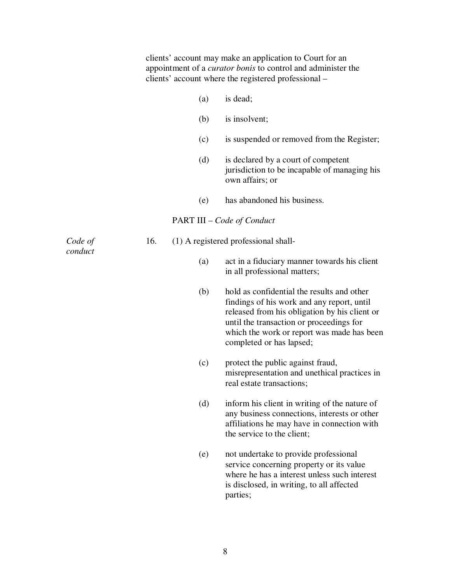|         |     |     | clients' account may make an application to Court for an<br>appointment of a <i>curator bonis</i> to control and administer the<br>clients' account where the registered professional –                                                                         |
|---------|-----|-----|-----------------------------------------------------------------------------------------------------------------------------------------------------------------------------------------------------------------------------------------------------------------|
|         |     | (a) | is dead;                                                                                                                                                                                                                                                        |
|         |     | (b) | is insolvent;                                                                                                                                                                                                                                                   |
|         |     | (c) | is suspended or removed from the Register;                                                                                                                                                                                                                      |
|         |     | (d) | is declared by a court of competent<br>jurisdiction to be incapable of managing his<br>own affairs; or                                                                                                                                                          |
|         |     | (e) | has abandoned his business.                                                                                                                                                                                                                                     |
|         |     |     | <b>PART III</b> – Code of Conduct                                                                                                                                                                                                                               |
| Code of | 16. |     | (1) A registered professional shall-                                                                                                                                                                                                                            |
| conduct |     | (a) | act in a fiduciary manner towards his client<br>in all professional matters;                                                                                                                                                                                    |
|         |     | (b) | hold as confidential the results and other<br>findings of his work and any report, until<br>released from his obligation by his client or<br>until the transaction or proceedings for<br>which the work or report was made has been<br>completed or has lapsed; |
|         |     | (c) | protect the public against fraud,<br>misrepresentation and unethical practices in<br>real estate transactions;                                                                                                                                                  |
|         |     | (d) | inform his client in writing of the nature of<br>any business connections, interests or other<br>affiliations he may have in connection with<br>the service to the client;                                                                                      |
|         |     | (e) | not undertake to provide professional<br>service concerning property or its value<br>where he has a interest unless such interest<br>is disclosed, in writing, to all affected<br>parties;                                                                      |

8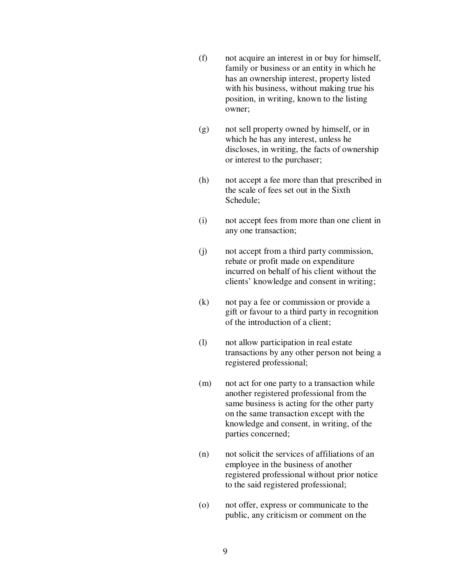- (f) not acquire an interest in or buy for himself, family or business or an entity in which he has an ownership interest, property listed with his business, without making true his position, in writing, known to the listing owner;
- (g) not sell property owned by himself, or in which he has any interest, unless he discloses, in writing, the facts of ownership or interest to the purchaser;
- (h) not accept a fee more than that prescribed in the scale of fees set out in the Sixth Schedule;
- (i) not accept fees from more than one client in any one transaction;
- (j) not accept from a third party commission, rebate or profit made on expenditure incurred on behalf of his client without the clients' knowledge and consent in writing;
- (k) not pay a fee or commission or provide a gift or favour to a third party in recognition of the introduction of a client;
- (l) not allow participation in real estate transactions by any other person not being a registered professional;
- (m) not act for one party to a transaction while another registered professional from the same business is acting for the other party on the same transaction except with the knowledge and consent, in writing, of the parties concerned;
- (n) not solicit the services of affiliations of an employee in the business of another registered professional without prior notice to the said registered professional;
- (o) not offer, express or communicate to the public, any criticism or comment on the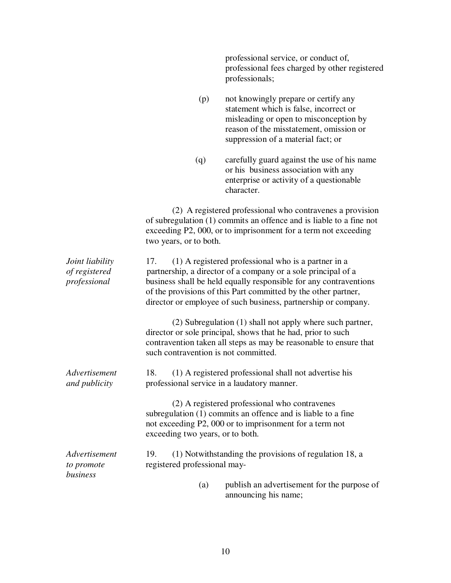|                                                  |                                      | professional service, or conduct of,<br>professional fees charged by other registered<br>professionals;                                                                                                                                                                                                                       |
|--------------------------------------------------|--------------------------------------|-------------------------------------------------------------------------------------------------------------------------------------------------------------------------------------------------------------------------------------------------------------------------------------------------------------------------------|
|                                                  | (p)                                  | not knowingly prepare or certify any<br>statement which is false, incorrect or<br>misleading or open to misconception by<br>reason of the misstatement, omission or<br>suppression of a material fact; or                                                                                                                     |
|                                                  | (q)                                  | carefully guard against the use of his name<br>or his business association with any<br>enterprise or activity of a questionable<br>character.                                                                                                                                                                                 |
|                                                  | two years, or to both.               | (2) A registered professional who contravenes a provision<br>of subregulation (1) commits an offence and is liable to a fine not<br>exceeding P2, 000, or to imprisonment for a term not exceeding                                                                                                                            |
| Joint liability<br>of registered<br>professional | 17.                                  | (1) A registered professional who is a partner in a<br>partnership, a director of a company or a sole principal of a<br>business shall be held equally responsible for any contraventions<br>of the provisions of this Part committed by the other partner,<br>director or employee of such business, partnership or company. |
|                                                  | such contravention is not committed. | (2) Subregulation (1) shall not apply where such partner,<br>director or sole principal, shows that he had, prior to such<br>contravention taken all steps as may be reasonable to ensure that                                                                                                                                |
| Advertisement<br>and publicity                   | 18.                                  | (1) A registered professional shall not advertise his<br>professional service in a laudatory manner.                                                                                                                                                                                                                          |
|                                                  | exceeding two years, or to both.     | (2) A registered professional who contravenes<br>subregulation (1) commits an offence and is liable to a fine<br>not exceeding P2, 000 or to imprisonment for a term not                                                                                                                                                      |
| Advertisement<br>to promote<br>business          | 19.<br>registered professional may-  | (1) Notwithstanding the provisions of regulation 18, a                                                                                                                                                                                                                                                                        |
|                                                  | (a)                                  | publish an advertisement for the purpose of<br>announcing his name;                                                                                                                                                                                                                                                           |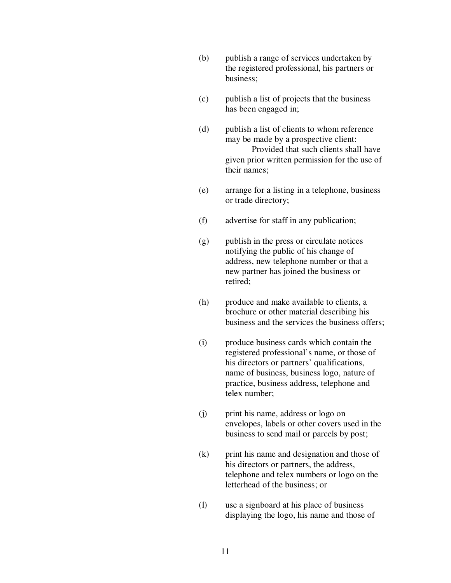- (b) publish a range of services undertaken by the registered professional, his partners or business;
- (c) publish a list of projects that the business has been engaged in;
- (d) publish a list of clients to whom reference may be made by a prospective client: Provided that such clients shall have given prior written permission for the use of their names;
- (e) arrange for a listing in a telephone, business or trade directory;
- (f) advertise for staff in any publication;
- (g) publish in the press or circulate notices notifying the public of his change of address, new telephone number or that a new partner has joined the business or retired;
- (h) produce and make available to clients, a brochure or other material describing his business and the services the business offers;
- (i) produce business cards which contain the registered professional's name, or those of his directors or partners' qualifications, name of business, business logo, nature of practice, business address, telephone and telex number;
- (j) print his name, address or logo on envelopes, labels or other covers used in the business to send mail or parcels by post;
- (k) print his name and designation and those of his directors or partners, the address, telephone and telex numbers or logo on the letterhead of the business; or
- (l) use a signboard at his place of business displaying the logo, his name and those of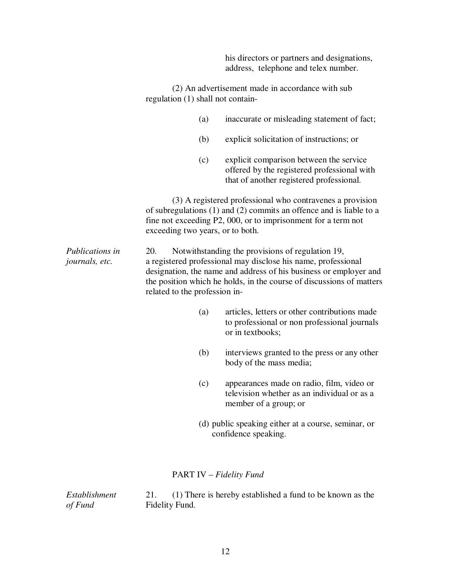his directors or partners and designations, address, telephone and telex number.

(2) An advertisement made in accordance with sub regulation (1) shall not contain-

- (a) inaccurate or misleading statement of fact;
- (b) explicit solicitation of instructions; or
- (c) explicit comparison between the service offered by the registered professional with that of another registered professional.

(3) A registered professional who contravenes a provision of subregulations (1) and (2) commits an offence and is liable to a fine not exceeding P2, 000, or to imprisonment for a term not exceeding two years, or to both.

*Publications in* 20. Notwithstanding the provisions of regulation 19, *journals, etc.* a registered professional may disclose his name, professional designation, the name and address of his business or employer and the position which he holds, in the course of discussions of matters related to the profession in-

- (a) articles, letters or other contributions made to professional or non professional journals or in textbooks;
- (b) interviews granted to the press or any other body of the mass media;
- (c) appearances made on radio, film, video or television whether as an individual or as a member of a group; or
- (d) public speaking either at a course, seminar, or confidence speaking.

#### PART IV – *Fidelity Fund*

*Establishment* 21. (1) There is hereby established a fund to be known as the *of Fund* Fidelity Fund.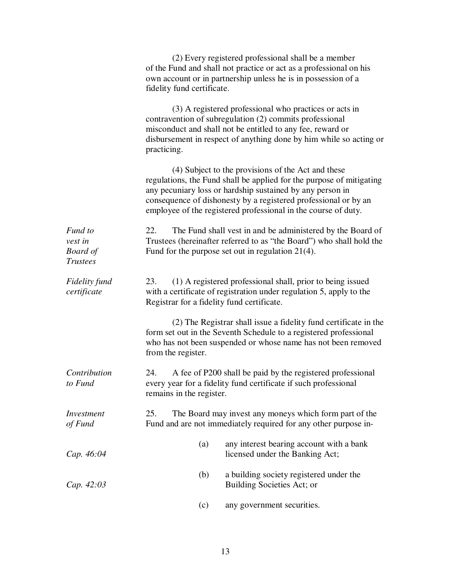|                                                          | (2) Every registered professional shall be a member<br>of the Fund and shall not practice or act as a professional on his<br>own account or in partnership unless he is in possession of a<br>fidelity fund certificate.                                                                                                     |
|----------------------------------------------------------|------------------------------------------------------------------------------------------------------------------------------------------------------------------------------------------------------------------------------------------------------------------------------------------------------------------------------|
|                                                          | (3) A registered professional who practices or acts in<br>contravention of subregulation (2) commits professional<br>misconduct and shall not be entitled to any fee, reward or<br>disbursement in respect of anything done by him while so acting or<br>practicing.                                                         |
|                                                          | (4) Subject to the provisions of the Act and these<br>regulations, the Fund shall be applied for the purpose of mitigating<br>any pecuniary loss or hardship sustained by any person in<br>consequence of dishonesty by a registered professional or by an<br>employee of the registered professional in the course of duty. |
| Fund to<br>vest in<br><b>Board</b> of<br><b>Trustees</b> | 22.<br>The Fund shall vest in and be administered by the Board of<br>Trustees (hereinafter referred to as "the Board") who shall hold the<br>Fund for the purpose set out in regulation $21(4)$ .                                                                                                                            |
| Fidelity fund<br>certificate                             | (1) A registered professional shall, prior to being issued<br>23.<br>with a certificate of registration under regulation 5, apply to the<br>Registrar for a fidelity fund certificate.                                                                                                                                       |
|                                                          | (2) The Registrar shall issue a fidelity fund certificate in the<br>form set out in the Seventh Schedule to a registered professional<br>who has not been suspended or whose name has not been removed<br>from the register.                                                                                                 |
| Contribution<br>to Fund                                  | 24.<br>A fee of P200 shall be paid by the registered professional<br>every year for a fidelity fund certificate if such professional<br>remains in the register.                                                                                                                                                             |
| Investment<br>of Fund                                    | 25.<br>The Board may invest any moneys which form part of the<br>Fund and are not immediately required for any other purpose in-                                                                                                                                                                                             |
| Cap. 46:04                                               | any interest bearing account with a bank<br>(a)<br>licensed under the Banking Act;                                                                                                                                                                                                                                           |
| Cap. 42:03                                               | (b)<br>a building society registered under the<br>Building Societies Act; or                                                                                                                                                                                                                                                 |
|                                                          | any government securities.<br>(c)                                                                                                                                                                                                                                                                                            |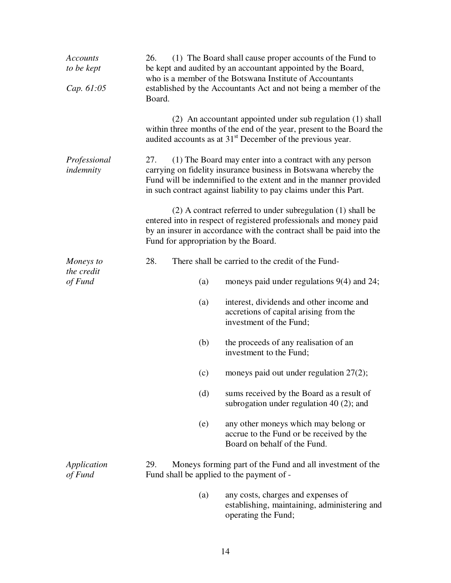| <b>Accounts</b><br>to be kept<br>Cap. 61:05 | 26.<br>Board.                                    | (1) The Board shall cause proper accounts of the Fund to<br>be kept and audited by an accountant appointed by the Board,<br>who is a member of the Botswana Institute of Accountants<br>established by the Accountants Act and not being a member of the             |
|---------------------------------------------|--------------------------------------------------|----------------------------------------------------------------------------------------------------------------------------------------------------------------------------------------------------------------------------------------------------------------------|
|                                             |                                                  | (2) An accountant appointed under sub regulation (1) shall<br>within three months of the end of the year, present to the Board the<br>audited accounts as at $31st$ December of the previous year.                                                                   |
| Professional<br>indemnity                   | 27.                                              | (1) The Board may enter into a contract with any person<br>carrying on fidelity insurance business in Botswana whereby the<br>Fund will be indemnified to the extent and in the manner provided<br>in such contract against liability to pay claims under this Part. |
|                                             | Fund for appropriation by the Board.             | (2) A contract referred to under subregulation (1) shall be<br>entered into in respect of registered professionals and money paid<br>by an insurer in accordance with the contract shall be paid into the                                                            |
| Moneys to                                   | 28.                                              | There shall be carried to the credit of the Fund-                                                                                                                                                                                                                    |
| the credit<br>of Fund                       | (a)                                              | moneys paid under regulations $9(4)$ and 24;                                                                                                                                                                                                                         |
|                                             | (a)                                              | interest, dividends and other income and<br>accretions of capital arising from the<br>investment of the Fund;                                                                                                                                                        |
|                                             | (b)                                              | the proceeds of any realisation of an<br>investment to the Fund;                                                                                                                                                                                                     |
|                                             | (c)                                              | moneys paid out under regulation $27(2)$ ;                                                                                                                                                                                                                           |
|                                             | (d)                                              | sums received by the Board as a result of<br>subrogation under regulation $40(2)$ ; and                                                                                                                                                                              |
|                                             | (e)                                              | any other moneys which may belong or<br>accrue to the Fund or be received by the<br>Board on behalf of the Fund.                                                                                                                                                     |
| Application<br>of Fund                      | 29.<br>Fund shall be applied to the payment of - | Moneys forming part of the Fund and all investment of the                                                                                                                                                                                                            |
|                                             | (a)                                              | any costs, charges and expenses of<br>establishing, maintaining, administering and<br>operating the Fund;                                                                                                                                                            |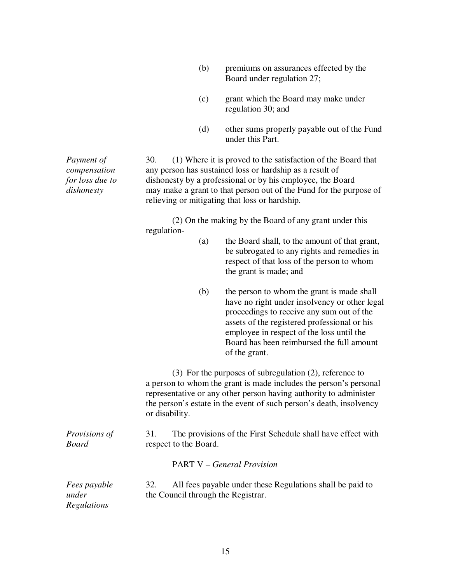| (b) | premiums on assurances effected by the |
|-----|----------------------------------------|
|     | Board under regulation 27;             |

- (c) grant which the Board may make under regulation 30; and
- (d) other sums properly payable out of the Fund under this Part.

*Payment of* 30. (1) Where it is proved to the satisfaction of the Board that *compensation* any person has sustained loss or hardship as a result of *for loss due to* dishonesty by a professional or by his employee, the Board *dishonesty* may make a grant to that person out of the Fund for the purpose of relieving or mitigating that loss or hardship.

> (2) On the making by the Board of any grant under this regulation-

- (a) the Board shall, to the amount of that grant, be subrogated to any rights and remedies in respect of that loss of the person to whom the grant is made; and
- (b) the person to whom the grant is made shall have no right under insolvency or other legal proceedings to receive any sum out of the assets of the registered professional or his employee in respect of the loss until the Board has been reimbursed the full amount of the grant.

(3) For the purposes of subregulation (2), reference to a person to whom the grant is made includes the person's personal representative or any other person having authority to administer the person's estate in the event of such person's death, insolvency or disability.

*Provisions of* 31. The provisions of the First Schedule shall have effect with *Board* respect to the Board.

#### PART V – *General Provision*

| Fees payable | All fees payable under these Regulations shall be paid to |
|--------------|-----------------------------------------------------------|
| under        | the Council through the Registrar.                        |
| Regulations  |                                                           |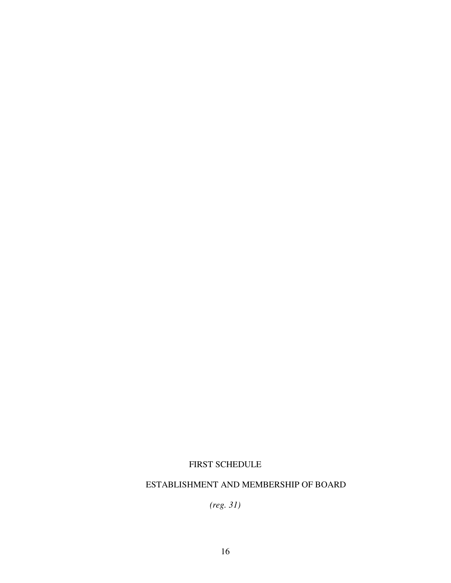# FIRST SCHEDULE

# ESTABLISHMENT AND MEMBERSHIP OF BOARD

*(reg. 31)*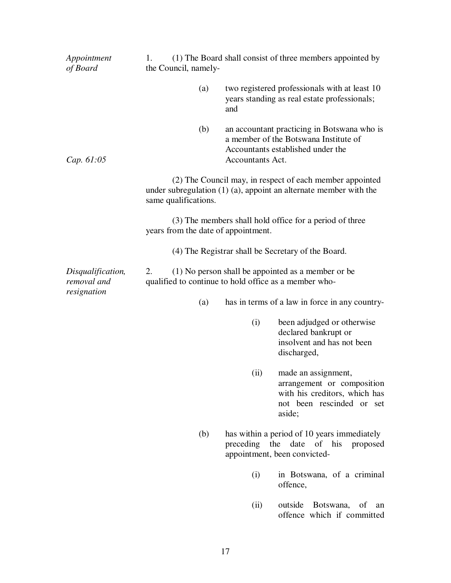| Appointment<br>of Board                         | 1.<br>the Council, namely-          | (1) The Board shall consist of three members appointed by                                                                                     |
|-------------------------------------------------|-------------------------------------|-----------------------------------------------------------------------------------------------------------------------------------------------|
|                                                 | (a)                                 | two registered professionals with at least 10<br>years standing as real estate professionals;<br>and                                          |
| Cap. 61:05                                      | (b)                                 | an accountant practicing in Botswana who is<br>a member of the Botswana Institute of<br>Accountants established under the<br>Accountants Act. |
|                                                 | same qualifications.                | (2) The Council may, in respect of each member appointed<br>under subregulation $(1)$ $(a)$ , appoint an alternate member with the            |
|                                                 | years from the date of appointment. | (3) The members shall hold office for a period of three                                                                                       |
|                                                 |                                     | (4) The Registrar shall be Secretary of the Board.                                                                                            |
| Disqualification,<br>removal and<br>resignation | 2.                                  | (1) No person shall be appointed as a member or be<br>qualified to continue to hold office as a member who-                                   |
|                                                 | (a)                                 | has in terms of a law in force in any country-                                                                                                |
|                                                 |                                     | (i)<br>been adjudged or otherwise<br>declared bankrupt or<br>insolvent and has not been<br>discharged,                                        |
|                                                 |                                     | made an assignment,<br>(ii)<br>arrangement or composition<br>with his creditors, which has<br>not been rescinded or set<br>aside;             |
|                                                 | (b)                                 | has within a period of 10 years immediately<br>preceding the date of his<br>proposed<br>appointment, been convicted-                          |
|                                                 |                                     | (i)<br>in Botswana, of a criminal<br>offence,                                                                                                 |
|                                                 |                                     | outside<br>Botswana,<br>of<br>(ii)<br>an<br>offence which if committed                                                                        |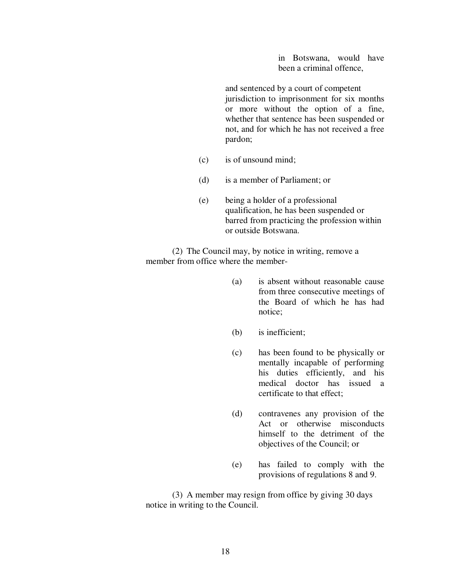in Botswana, would have been a criminal offence,

 and sentenced by a court of competent jurisdiction to imprisonment for six months or more without the option of a fine, whether that sentence has been suspended or not, and for which he has not received a free pardon;

- (c) is of unsound mind;
- (d) is a member of Parliament; or
- (e) being a holder of a professional qualification, he has been suspended or barred from practicing the profession within or outside Botswana.

(2) The Council may, by notice in writing, remove a member from office where the member-

- (a) is absent without reasonable cause from three consecutive meetings of the Board of which he has had notice;
- (b) is inefficient;
- (c) has been found to be physically or mentally incapable of performing his duties efficiently, and his medical doctor has issued a certificate to that effect;
- (d) contravenes any provision of the Act or otherwise misconducts himself to the detriment of the objectives of the Council; or
- (e) has failed to comply with the provisions of regulations 8 and 9.

(3) A member may resign from office by giving 30 days notice in writing to the Council.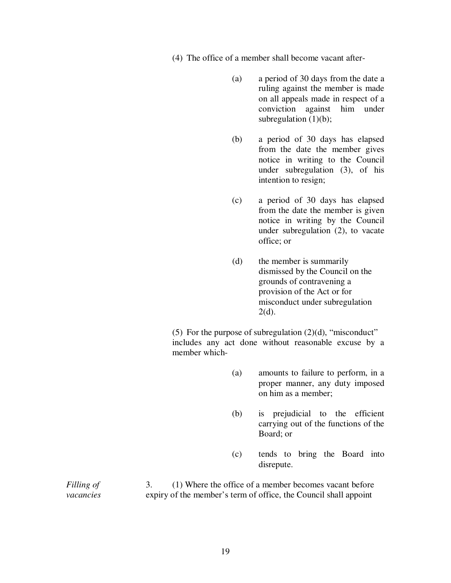- (4) The office of a member shall become vacant after-
	- (a) a period of 30 days from the date a ruling against the member is made on all appeals made in respect of a conviction against him under subregulation  $(1)(b)$ ;
	- (b) a period of 30 days has elapsed from the date the member gives notice in writing to the Council under subregulation (3), of his intention to resign;
	- (c) a period of 30 days has elapsed from the date the member is given notice in writing by the Council under subregulation (2), to vacate office; or
	- (d) the member is summarily dismissed by the Council on the grounds of contravening a provision of the Act or for misconduct under subregulation  $2(d)$ .

(5) For the purpose of subregulation  $(2)(d)$ , "misconduct" includes any act done without reasonable excuse by a member which-

- (a) amounts to failure to perform, in a proper manner, any duty imposed on him as a member;
- (b) is prejudicial to the efficient carrying out of the functions of the Board; or
- (c) tends to bring the Board into disrepute.

*Filling of* 3. (1) Where the office of a member becomes vacant before *vacancies* expiry of the member's term of office, the Council shall appoint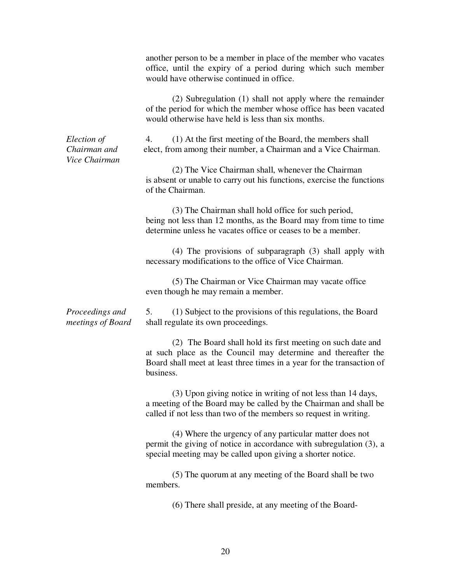|                                              | another person to be a member in place of the member who vacates<br>office, until the expiry of a period during which such member<br>would have otherwise continued in office.                                      |
|----------------------------------------------|---------------------------------------------------------------------------------------------------------------------------------------------------------------------------------------------------------------------|
|                                              | (2) Subregulation (1) shall not apply where the remainder<br>of the period for which the member whose office has been vacated<br>would otherwise have held is less than six months.                                 |
| Election of<br>Chairman and<br>Vice Chairman | 4.<br>(1) At the first meeting of the Board, the members shall<br>elect, from among their number, a Chairman and a Vice Chairman.                                                                                   |
|                                              | (2) The Vice Chairman shall, whenever the Chairman<br>is absent or unable to carry out his functions, exercise the functions<br>of the Chairman.                                                                    |
|                                              | (3) The Chairman shall hold office for such period,<br>being not less than 12 months, as the Board may from time to time<br>determine unless he vacates office or ceases to be a member.                            |
|                                              | $(4)$ The provisions of subparagraph $(3)$ shall apply with<br>necessary modifications to the office of Vice Chairman.                                                                                              |
|                                              | (5) The Chairman or Vice Chairman may vacate office<br>even though he may remain a member.                                                                                                                          |
| Proceedings and<br>meetings of Board         | 5.<br>(1) Subject to the provisions of this regulations, the Board<br>shall regulate its own proceedings.                                                                                                           |
|                                              | (2) The Board shall hold its first meeting on such date and<br>at such place as the Council may determine and thereafter the<br>Board shall meet at least three times in a year for the transaction of<br>business. |
|                                              | (3) Upon giving notice in writing of not less than 14 days,<br>a meeting of the Board may be called by the Chairman and shall be<br>called if not less than two of the members so request in writing.               |
|                                              | (4) Where the urgency of any particular matter does not<br>permit the giving of notice in accordance with subregulation (3), a<br>special meeting may be called upon giving a shorter notice.                       |
|                                              | (5) The quorum at any meeting of the Board shall be two<br>members.                                                                                                                                                 |
|                                              | (6) There shall preside, at any meeting of the Board-                                                                                                                                                               |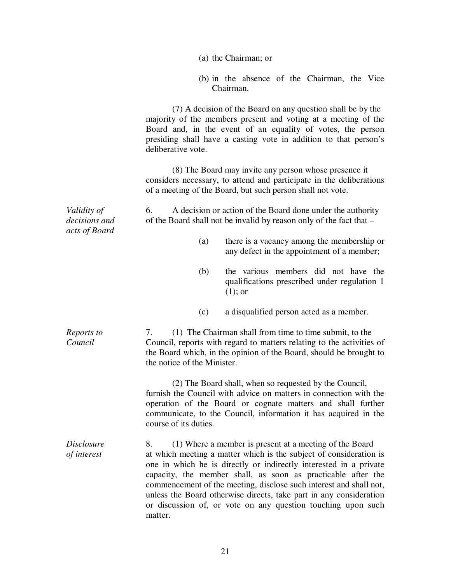|                                               |                                                                                                                                                                                                                                                                                                                                                                                                                                      | (a) the Chairman; or |                                                                                          |  |
|-----------------------------------------------|--------------------------------------------------------------------------------------------------------------------------------------------------------------------------------------------------------------------------------------------------------------------------------------------------------------------------------------------------------------------------------------------------------------------------------------|----------------------|------------------------------------------------------------------------------------------|--|
|                                               |                                                                                                                                                                                                                                                                                                                                                                                                                                      | Chairman.            | (b) in the absence of the Chairman, the Vice                                             |  |
|                                               | majority of the members present and voting at a meeting of the<br>Board and, in the event of an equality of votes, the person<br>presiding shall have a casting vote in addition to that person's<br>deliberative vote.                                                                                                                                                                                                              |                      | (7) A decision of the Board on any question shall be by the                              |  |
|                                               | considers necessary, to attend and participate in the deliberations<br>of a meeting of the Board, but such person shall not vote.                                                                                                                                                                                                                                                                                                    |                      | (8) The Board may invite any person whose presence it                                    |  |
| Validity of<br>decisions and<br>acts of Board | 6.<br>of the Board shall not be invalid by reason only of the fact that –                                                                                                                                                                                                                                                                                                                                                            |                      | A decision or action of the Board done under the authority                               |  |
|                                               | (a)                                                                                                                                                                                                                                                                                                                                                                                                                                  |                      | there is a vacancy among the membership or<br>any defect in the appointment of a member; |  |
|                                               | (b)                                                                                                                                                                                                                                                                                                                                                                                                                                  | $(1)$ ; or           | the various members did not have the<br>qualifications prescribed under regulation 1     |  |
|                                               | (c)                                                                                                                                                                                                                                                                                                                                                                                                                                  |                      | a disqualified person acted as a member.                                                 |  |
| Reports to<br>Council                         | 7.<br>Council, reports with regard to matters relating to the activities of<br>the Board which, in the opinion of the Board, should be brought to<br>the notice of the Minister.                                                                                                                                                                                                                                                     |                      | (1) The Chairman shall from time to time submit, to the                                  |  |
|                                               | furnish the Council with advice on matters in connection with the<br>operation of the Board or cognate matters and shall further<br>communicate, to the Council, information it has acquired in the<br>course of its duties.                                                                                                                                                                                                         |                      | (2) The Board shall, when so requested by the Council,                                   |  |
| <i>Disclosure</i><br>of interest              | 8.<br>at which meeting a matter which is the subject of consideration is<br>one in which he is directly or indirectly interested in a private<br>capacity, the member shall, as soon as practicable after the<br>commencement of the meeting, disclose such interest and shall not,<br>unless the Board otherwise directs, take part in any consideration<br>or discussion of, or vote on any question touching upon such<br>matter. |                      | (1) Where a member is present at a meeting of the Board                                  |  |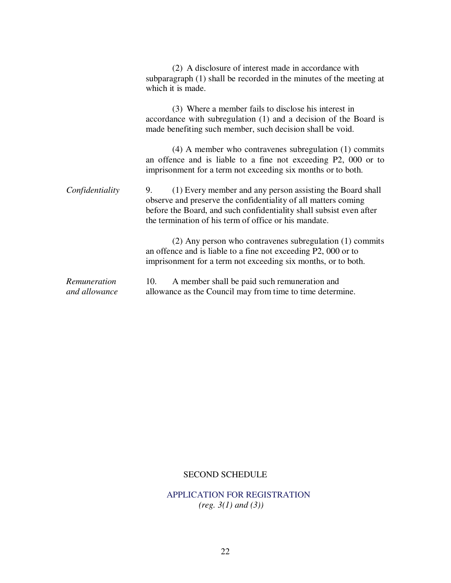|                               | (2) A disclosure of interest made in accordance with<br>subparagraph (1) shall be recorded in the minutes of the meeting at<br>which it is made.                                                                                                                  |
|-------------------------------|-------------------------------------------------------------------------------------------------------------------------------------------------------------------------------------------------------------------------------------------------------------------|
|                               | (3) Where a member fails to disclose his interest in<br>accordance with subregulation (1) and a decision of the Board is<br>made benefiting such member, such decision shall be void.                                                                             |
|                               | $(4)$ A member who contravenes subregulation $(1)$ commits<br>an offence and is liable to a fine not exceeding P2, 000 or to<br>imprisonment for a term not exceeding six months or to both.                                                                      |
| Confidentiality               | (1) Every member and any person assisting the Board shall<br>9.<br>observe and preserve the confidentiality of all matters coming<br>before the Board, and such confidentiality shall subsist even after<br>the termination of his term of office or his mandate. |
|                               | (2) Any person who contravenes subregulation (1) commits<br>an offence and is liable to a fine not exceeding P2, 000 or to<br>imprisonment for a term not exceeding six months, or to both.                                                                       |
| Remuneration<br>and allowance | A member shall be paid such remuneration and<br>10.<br>allowance as the Council may from time to time determine.                                                                                                                                                  |

### SECOND SCHEDULE

# APPLICATION FOR REGISTRATION *(reg. 3(1) and (3))*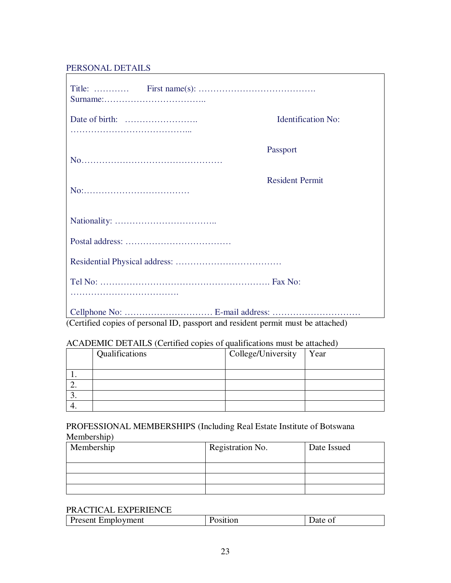## PERSONAL DETAILS

|                                                                                  | <b>Identification No:</b> |
|----------------------------------------------------------------------------------|---------------------------|
|                                                                                  | Passport                  |
|                                                                                  | <b>Resident Permit</b>    |
|                                                                                  |                           |
|                                                                                  |                           |
|                                                                                  |                           |
|                                                                                  |                           |
|                                                                                  |                           |
| (Certified copies of personal ID, passport and resident permit must be attached) |                           |

## ACADEMIC DETAILS (Certified copies of qualifications must be attached)

| Qualifications | College/University | Year |
|----------------|--------------------|------|
|                |                    |      |
|                |                    |      |
|                |                    |      |
|                |                    |      |
|                |                    |      |

### PROFESSIONAL MEMBERSHIPS (Including Real Estate Institute of Botswana Membership)

| Membership | Registration No. | Date Issued |
|------------|------------------|-------------|
|            |                  |             |
|            |                  |             |
|            |                  |             |

#### PRACTICAL EXPERIENCE

| .<br>ment<br>resent<br>- AHIDIO<br>______ |  |
|-------------------------------------------|--|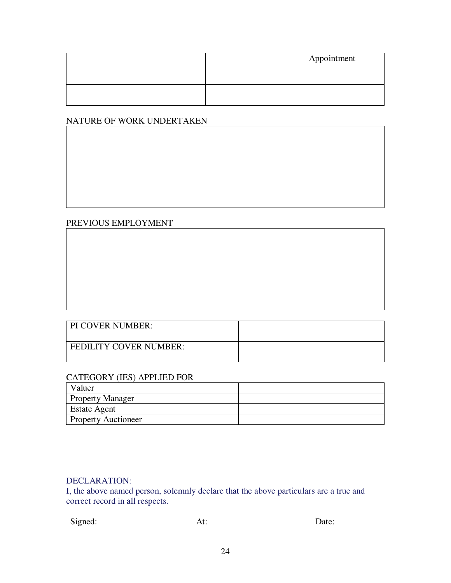|  | Appointment |
|--|-------------|
|  |             |
|  |             |
|  |             |

### NATURE OF WORK UNDERTAKEN

## PREVIOUS EMPLOYMENT

| PI COVER NUMBER:              |  |
|-------------------------------|--|
| <b>FEDILITY COVER NUMBER:</b> |  |

## CATEGORY (IES) APPLIED FOR

| Valuer                     |  |
|----------------------------|--|
| <b>Property Manager</b>    |  |
| <b>Estate Agent</b>        |  |
| <b>Property Auctioneer</b> |  |

### DECLARATION:

I, the above named person, solemnly declare that the above particulars are a true and correct record in all respects.

Signed: At: Date: Date: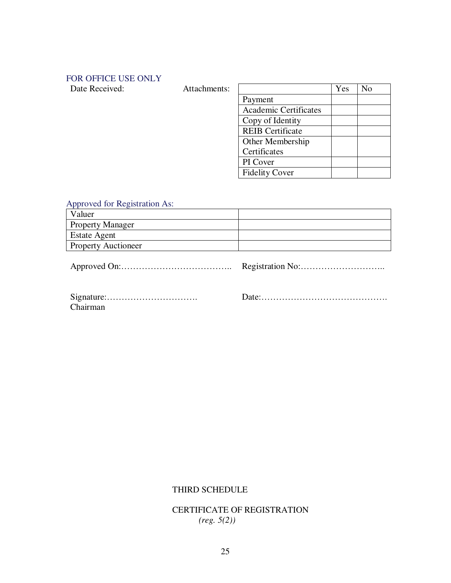# FOR OFFICE USE ONLY

| Date Received: | Attachments: |                              | Yes | N <sub>o</sub> |
|----------------|--------------|------------------------------|-----|----------------|
|                |              | Payment                      |     |                |
|                |              | <b>Academic Certificates</b> |     |                |
|                |              | Copy of Identity             |     |                |
|                |              | <b>REIB</b> Certificate      |     |                |
|                |              | Other Membership             |     |                |
|                |              | Certificates                 |     |                |
|                |              | PI Cover                     |     |                |
|                |              | <b>Fidelity Cover</b>        |     |                |

# Approved for Registration As:

| Valuer                     |  |
|----------------------------|--|
| <b>Property Manager</b>    |  |
| <b>Estate Agent</b>        |  |
| <b>Property Auctioneer</b> |  |

Approved On:……………………………….. Registration No:………………………..

| Chairman |  |  |  |  |  |  |  |  |  |  |
|----------|--|--|--|--|--|--|--|--|--|--|

Date:…………………………………….

# THIRD SCHEDULE

CERTIFICATE OF REGISTRATION *(reg. 5(2))*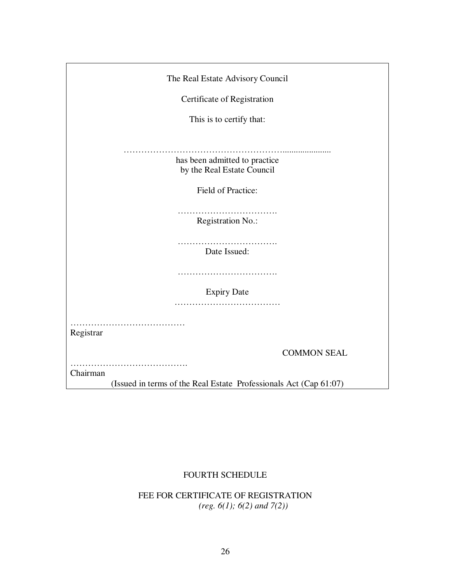| The Real Estate Advisory Council                                  |
|-------------------------------------------------------------------|
| Certificate of Registration                                       |
| This is to certify that:                                          |
| .                                                                 |
| has been admitted to practice                                     |
| by the Real Estate Council                                        |
| Field of Practice:                                                |
| Registration No.:                                                 |
| .<br>Date Issued:                                                 |
|                                                                   |
| <b>Expiry Date</b>                                                |
|                                                                   |
| Registrar                                                         |
| <b>COMMON SEAL</b>                                                |
|                                                                   |
| Chairman                                                          |
| (Issued in terms of the Real Estate Professionals Act (Cap 61:07) |

## FOURTH SCHEDULE

FEE FOR CERTIFICATE OF REGISTRATION *(reg. 6(1); 6(2) and 7(2))*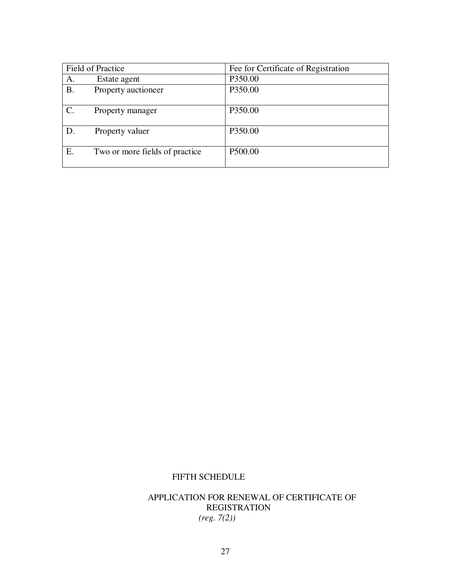|                 | <b>Field of Practice</b>       | Fee for Certificate of Registration |
|-----------------|--------------------------------|-------------------------------------|
| A.              | Estate agent                   | P350.00                             |
| <b>B.</b>       | Property auctioneer            | P350.00                             |
| $\mathcal{C}$ . | Property manager               | P350.00                             |
| D.              | Property valuer                | P350.00                             |
| Ε.              | Two or more fields of practice | P500.00                             |

## FIFTH SCHEDULE

## APPLICATION FOR RENEWAL OF CERTIFICATE OF REGISTRATION *(reg. 7(2))*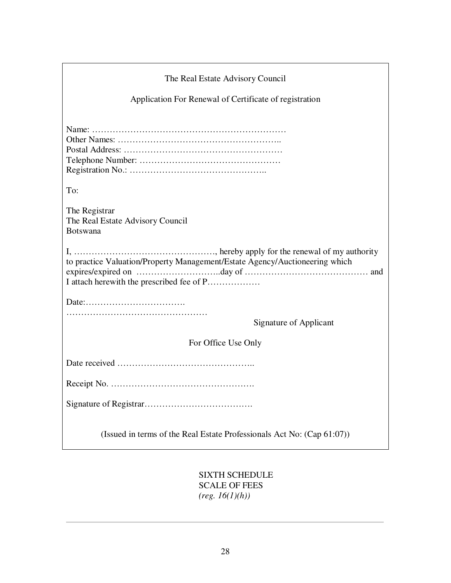| The Real Estate Advisory Council                                                                                          |
|---------------------------------------------------------------------------------------------------------------------------|
| Application For Renewal of Certificate of registration                                                                    |
|                                                                                                                           |
| To:                                                                                                                       |
| The Registrar<br>The Real Estate Advisory Council<br><b>Botswana</b>                                                      |
| to practice Valuation/Property Management/Estate Agency/Auctioneering which<br>I attach here with the prescribed fee of P |
|                                                                                                                           |
| Signature of Applicant                                                                                                    |
| For Office Use Only                                                                                                       |
|                                                                                                                           |
|                                                                                                                           |
|                                                                                                                           |
| (Issued in terms of the Real Estate Professionals Act No: (Cap 61:07))                                                    |

SIXTH SCHEDULE SCALE OF FEES *(reg. 16(1)(h))*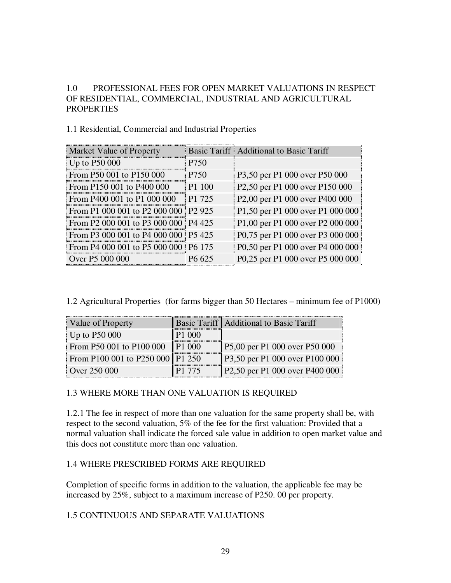## 1.0 PROFESSIONAL FEES FOR OPEN MARKET VALUATIONS IN RESPECT OF RESIDENTIAL, COMMERCIAL, INDUSTRIAL AND AGRICULTURAL **PROPERTIES**

### 1.1 Residential, Commercial and Industrial Properties

| Market Value of Property             |                    | Basic Tariff Additional to Basic Tariff                             |
|--------------------------------------|--------------------|---------------------------------------------------------------------|
| Up to $P50000$                       | P750               |                                                                     |
| From P50 001 to P150 000             | P750               | P3,50 per P1 000 over P50 000                                       |
| From P150 001 to P400 000            | P <sub>1</sub> 100 | P2,50 per P1 000 over P150 000                                      |
| From P400 001 to P1 000 000          | P1 725             | P <sub>2</sub> ,00 per P <sub>1</sub> 000 over P <sub>400</sub> 000 |
| From P1 000 001 to P2 000 000 P2 925 |                    | P1,50 per P1 000 over P1 000 000                                    |
| From P2 000 001 to P3 000 000 P4 425 |                    | P1,00 per P1 000 over P2 000 000                                    |
| From P3 000 001 to P4 000 000 P5 425 |                    | P0,75 per P1 000 over P3 000 000                                    |
| From P4 000 001 to P5 000 000 P6 175 |                    | P0,50 per P1 000 over P4 000 000                                    |
| Over P5 000 000                      | P <sub>6</sub> 625 | P0,25 per P1 000 over P5 000 000                                    |

1.2 Agricultural Properties (for farms bigger than 50 Hectares – minimum fee of P1000)

| Value of Property                |        | <b>Basic Tariff   Additional to Basic Tariff</b> |
|----------------------------------|--------|--------------------------------------------------|
| Up to $P50000$                   | P1 000 |                                                  |
| From P50 001 to P100 000 P1 000  |        | P5,00 per P1 000 over P50 000                    |
| From P100 001 to P250 000 P1 250 |        | P3,50 per P1 000 over P100 000                   |
| Over 250 000                     | P1 775 | $P2,50$ per P1 000 over P400 000                 |

### 1.3 WHERE MORE THAN ONE VALUATION IS REQUIRED

1.2.1 The fee in respect of more than one valuation for the same property shall be, with respect to the second valuation, 5% of the fee for the first valuation: Provided that a normal valuation shall indicate the forced sale value in addition to open market value and this does not constitute more than one valuation.

### 1.4 WHERE PRESCRIBED FORMS ARE REQUIRED

Completion of specific forms in addition to the valuation, the applicable fee may be increased by 25%, subject to a maximum increase of P250. 00 per property.

### 1.5 CONTINUOUS AND SEPARATE VALUATIONS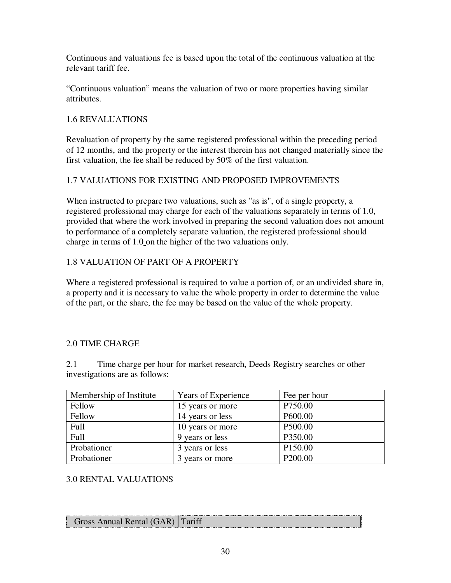Continuous and valuations fee is based upon the total of the continuous valuation at the relevant tariff fee.

"Continuous valuation" means the valuation of two or more properties having similar attributes.

## 1.6 REVALUATIONS

Revaluation of property by the same registered professional within the preceding period of 12 months, and the property or the interest therein has not changed materially since the first valuation, the fee shall be reduced by 50% of the first valuation.

## 1.7 VALUATIONS FOR EXISTING AND PROPOSED IMPROVEMENTS

When instructed to prepare two valuations, such as "as is", of a single property, a registered professional may charge for each of the valuations separately in terms of 1.0, provided that where the work involved in preparing the second valuation does not amount to performance of a completely separate valuation, the registered professional should charge in terms of 1.0 on the higher of the two valuations only.

## 1.8 VALUATION OF PART OF A PROPERTY

Where a registered professional is required to value a portion of, or an undivided share in, a property and it is necessary to value the whole property in order to determine the value of the part, or the share, the fee may be based on the value of the whole property.

## 2.0 TIME CHARGE

2.1 Time charge per hour for market research, Deeds Registry searches or other investigations are as follows:

| Membership of Institute | <b>Years of Experience</b> | Fee per hour        |
|-------------------------|----------------------------|---------------------|
| Fellow                  | 15 years or more           | P750.00             |
| Fellow                  | 14 years or less           | P600.00             |
| Full                    | 10 years or more           | P500.00             |
| Full                    | 9 years or less            | P350.00             |
| Probationer             | 3 years or less            | P <sub>150.00</sub> |
| Probationer             | 3 years or more            | P <sub>200.00</sub> |

## 3.0 RENTAL VALUATIONS

| Gross Annual Rental (GAR) Tariff |
|----------------------------------|
|                                  |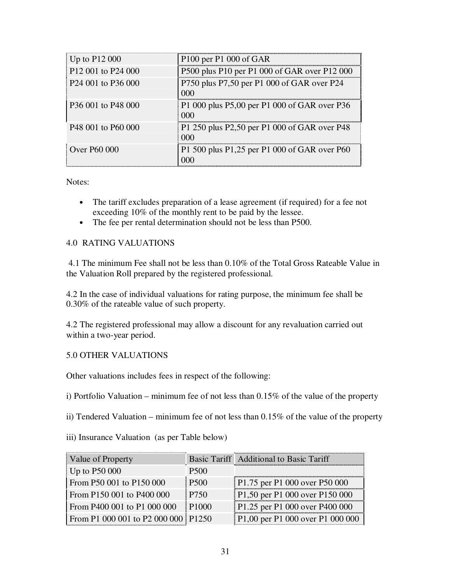| Up to $P12000$                             | P100 per P1 000 of GAR                              |
|--------------------------------------------|-----------------------------------------------------|
| P <sub>12</sub> 001 to P <sub>24</sub> 000 | P500 plus P10 per P1 000 of GAR over P12 000        |
| P <sub>24</sub> 001 to P <sub>36</sub> 000 | P750 plus P7,50 per P1 000 of GAR over P24<br>000   |
| P36 001 to P48 000                         | P1 000 plus P5,00 per P1 000 of GAR over P36<br>000 |
| P <sub>48</sub> 001 to P <sub>60</sub> 000 | P1 250 plus P2,50 per P1 000 of GAR over P48<br>000 |
| Over P60 000                               | P1 500 plus P1,25 per P1 000 of GAR over P60<br>000 |

Notes:

- The tariff excludes preparation of a lease agreement (if required) for a fee not exceeding 10% of the monthly rent to be paid by the lessee.
- The fee per rental determination should not be less than P500.

### 4.0 RATING VALUATIONS

 4.1 The minimum Fee shall not be less than 0.10% of the Total Gross Rateable Value in the Valuation Roll prepared by the registered professional.

4.2 In the case of individual valuations for rating purpose, the minimum fee shall be 0.30% of the rateable value of such property.

4.2 The registered professional may allow a discount for any revaluation carried out within a two-year period.

### 5.0 OTHER VALUATIONS

Other valuations includes fees in respect of the following:

i) Portfolio Valuation – minimum fee of not less than 0.15% of the value of the property

ii) Tendered Valuation – minimum fee of not less than 0.15% of the value of the property

iii) Insurance Valuation (as per Table below)

| Value of Property                   |             | Basic Tariff Additional to Basic Tariff |
|-------------------------------------|-------------|-----------------------------------------|
| Up to $P50000$                      | <b>P500</b> |                                         |
| From P50 001 to P150 000            | <b>P500</b> | P1.75 per P1 000 over P50 000           |
| From P150 001 to P400 000           | P750        | P1,50 per P1 000 over P150 000          |
| From P400 001 to P1 000 000         | 1 P1000     | P1.25 per P1 000 over P400 000          |
| From P1 000 001 to P2 000 000 P1250 |             | P1,00 per P1 000 over P1 000 000        |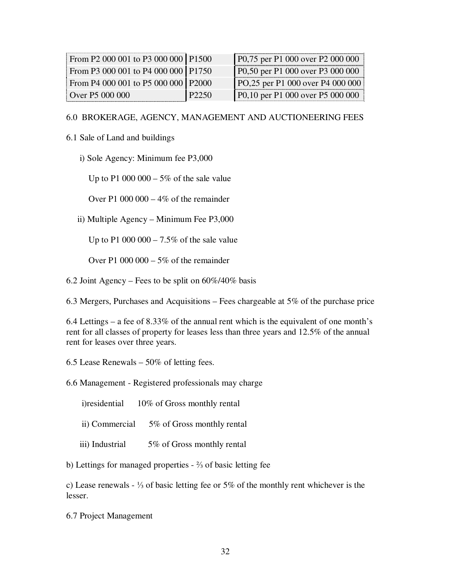| From P2 000 001 to P3 000 000   P1500 |          | P0,75 per P1 000 over P2 000 000  |
|---------------------------------------|----------|-----------------------------------|
| From P3 000 001 to P4 000 000 P1750   |          | P0,50 per P1 000 over P3 000 000  |
| From P4 000 001 to P5 000 000 P2000   |          | PO, 25 per P1 000 over P4 000 000 |
| Over P5 000 000                       | i P2250. | P0,10 per P1 000 over P5 000 000  |

#### 6.0 BROKERAGE, AGENCY, MANAGEMENT AND AUCTIONEERING FEES

#### 6.1 Sale of Land and buildings

i) Sole Agency: Minimum fee P3,000

Up to P1 000 000 – 5% of the sale value

Over P1 000 000 – 4% of the remainder

ii) Multiple Agency – Minimum Fee P3,000

Up to P1 000 000 – 7.5% of the sale value

Over P1 000 000 – 5% of the remainder

6.2 Joint Agency – Fees to be split on  $60\%/40\%$  basis

6.3 Mergers, Purchases and Acquisitions – Fees chargeable at 5% of the purchase price

6.4 Lettings – a fee of 8.33% of the annual rent which is the equivalent of one month's rent for all classes of property for leases less than three years and 12.5% of the annual rent for leases over three years.

6.5 Lease Renewals – 50% of letting fees.

6.6 Management - Registered professionals may charge

i)residential 10% of Gross monthly rental

ii) Commercial 5% of Gross monthly rental

iii) Industrial 5% of Gross monthly rental

b) Lettings for managed properties - ⅔ of basic letting fee

c) Lease renewals - ⅓ of basic letting fee or 5% of the monthly rent whichever is the lesser.

6.7 Project Management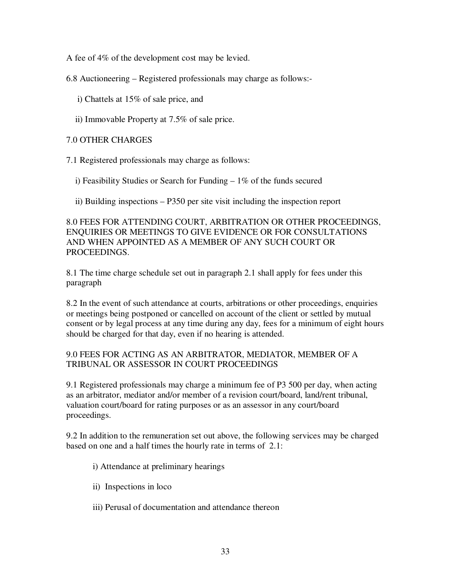A fee of 4% of the development cost may be levied.

6.8 Auctioneering – Registered professionals may charge as follows:-

- i) Chattels at 15% of sale price, and
- ii) Immovable Property at 7.5% of sale price.

### 7.0 OTHER CHARGES

7.1 Registered professionals may charge as follows:

- i) Feasibility Studies or Search for Funding 1% of the funds secured
- ii) Building inspections P350 per site visit including the inspection report

8.0 FEES FOR ATTENDING COURT, ARBITRATION OR OTHER PROCEEDINGS, ENQUIRIES OR MEETINGS TO GIVE EVIDENCE OR FOR CONSULTATIONS AND WHEN APPOINTED AS A MEMBER OF ANY SUCH COURT OR PROCEEDINGS.

8.1 The time charge schedule set out in paragraph 2.1 shall apply for fees under this paragraph

8.2 In the event of such attendance at courts, arbitrations or other proceedings, enquiries or meetings being postponed or cancelled on account of the client or settled by mutual consent or by legal process at any time during any day, fees for a minimum of eight hours should be charged for that day, even if no hearing is attended.

### 9.0 FEES FOR ACTING AS AN ARBITRATOR, MEDIATOR, MEMBER OF A TRIBUNAL OR ASSESSOR IN COURT PROCEEDINGS

9.1 Registered professionals may charge a minimum fee of P3 500 per day, when acting as an arbitrator, mediator and/or member of a revision court/board, land/rent tribunal, valuation court/board for rating purposes or as an assessor in any court/board proceedings.

9.2 In addition to the remuneration set out above, the following services may be charged based on one and a half times the hourly rate in terms of 2.1:

- i) Attendance at preliminary hearings
- ii) Inspections in loco
- iii) Perusal of documentation and attendance thereon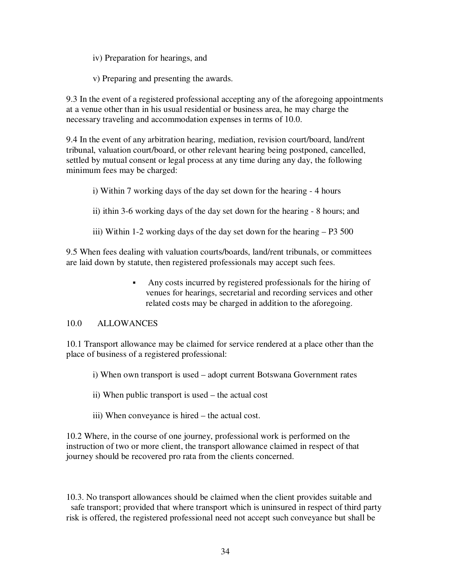iv) Preparation for hearings, and

v) Preparing and presenting the awards.

9.3 In the event of a registered professional accepting any of the aforegoing appointments at a venue other than in his usual residential or business area, he may charge the necessary traveling and accommodation expenses in terms of 10.0.

9.4 In the event of any arbitration hearing, mediation, revision court/board, land/rent tribunal, valuation court/board, or other relevant hearing being postponed, cancelled, settled by mutual consent or legal process at any time during any day, the following minimum fees may be charged:

i) Within 7 working days of the day set down for the hearing - 4 hours

ii) ithin 3-6 working days of the day set down for the hearing - 8 hours; and

iii) Within 1-2 working days of the day set down for the hearing – P3 500

9.5 When fees dealing with valuation courts/boards, land/rent tribunals, or committees are laid down by statute, then registered professionals may accept such fees.

> Any costs incurred by registered professionals for the hiring of venues for hearings, secretarial and recording services and other related costs may be charged in addition to the aforegoing.

## 10.0 ALLOWANCES

10.1 Transport allowance may be claimed for service rendered at a place other than the place of business of a registered professional:

- i) When own transport is used adopt current Botswana Government rates
- ii) When public transport is used the actual cost
- iii) When conveyance is hired the actual cost.

10.2 Where, in the course of one journey, professional work is performed on the instruction of two or more client, the transport allowance claimed in respect of that journey should be recovered pro rata from the clients concerned.

10.3. No transport allowances should be claimed when the client provides suitable and safe transport; provided that where transport which is uninsured in respect of third party risk is offered, the registered professional need not accept such conveyance but shall be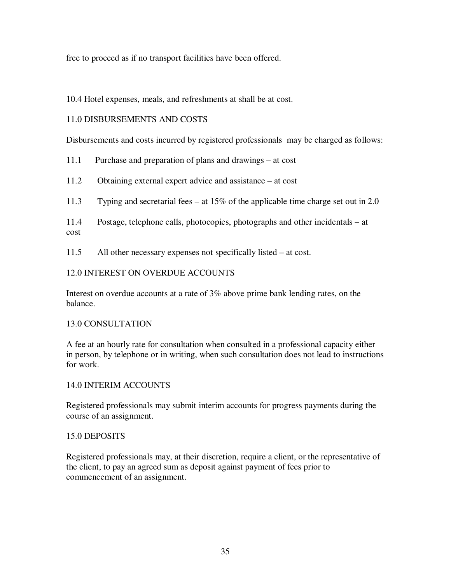free to proceed as if no transport facilities have been offered.

10.4 Hotel expenses, meals, and refreshments at shall be at cost.

### 11.0 DISBURSEMENTS AND COSTS

Disbursements and costs incurred by registered professionals may be charged as follows:

11.1 Purchase and preparation of plans and drawings – at cost

11.2 Obtaining external expert advice and assistance – at cost

11.3 Typing and secretarial fees – at 15% of the applicable time charge set out in 2.0

11.4 Postage, telephone calls, photocopies, photographs and other incidentals – at cost

11.5 All other necessary expenses not specifically listed – at cost.

### 12.0 INTEREST ON OVERDUE ACCOUNTS

Interest on overdue accounts at a rate of 3% above prime bank lending rates, on the balance.

### 13.0 CONSULTATION

A fee at an hourly rate for consultation when consulted in a professional capacity either in person, by telephone or in writing, when such consultation does not lead to instructions for work.

### 14.0 INTERIM ACCOUNTS

Registered professionals may submit interim accounts for progress payments during the course of an assignment.

### 15.0 DEPOSITS

Registered professionals may, at their discretion, require a client, or the representative of the client, to pay an agreed sum as deposit against payment of fees prior to commencement of an assignment.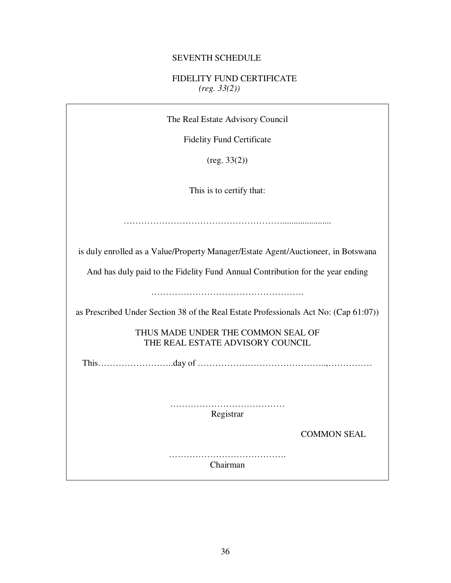## SEVENTH SCHEDULE

## FIDELITY FUND CERTIFICATE *(reg. 33(2))*

| The Real Estate Advisory Council                                                     |
|--------------------------------------------------------------------------------------|
| <b>Fidelity Fund Certificate</b>                                                     |
| (reg. 33(2))                                                                         |
| This is to certify that:                                                             |
|                                                                                      |
| is duly enrolled as a Value/Property Manager/Estate Agent/Auctioneer, in Botswana    |
| And has duly paid to the Fidelity Fund Annual Contribution for the year ending       |
|                                                                                      |
| as Prescribed Under Section 38 of the Real Estate Professionals Act No: (Cap 61:07)) |
| THUS MADE UNDER THE COMMON SEAL OF<br>THE REAL ESTATE ADVISORY COUNCIL               |
|                                                                                      |
|                                                                                      |
| .<br>Registrar                                                                       |
| <b>COMMON SEAL</b>                                                                   |
| Chairman                                                                             |